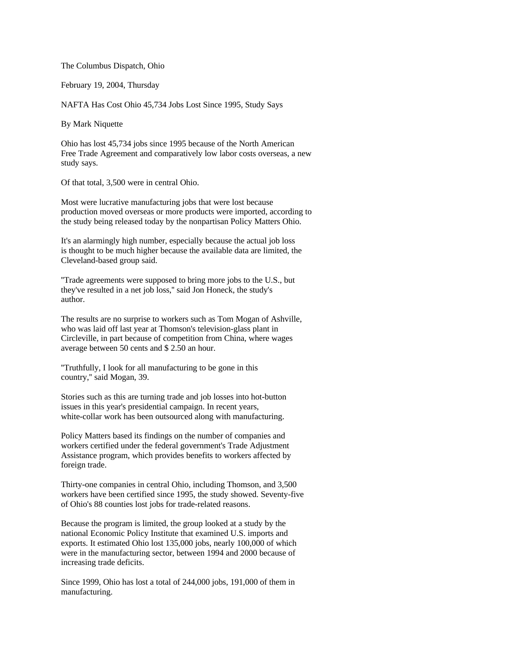The Columbus Dispatch, Ohio

February 19, 2004, Thursday

NAFTA Has Cost Ohio 45,734 Jobs Lost Since 1995, Study Says

By Mark Niquette

Ohio has lost 45,734 jobs since 1995 because of the North American Free Trade Agreement and comparatively low labor costs overseas, a new study says.

Of that total, 3,500 were in central Ohio.

Most were lucrative manufacturing jobs that were lost because production moved overseas or more products were imported, according to the study being released today by the nonpartisan Policy Matters Ohio.

It's an alarmingly high number, especially because the actual job loss is thought to be much higher because the available data are limited, the Cleveland-based group said.

''Trade agreements were supposed to bring more jobs to the U.S., but they've resulted in a net job loss,'' said Jon Honeck, the study's author.

The results are no surprise to workers such as Tom Mogan of Ashville, who was laid off last year at Thomson's television-glass plant in Circleville, in part because of competition from China, where wages average between 50 cents and \$ 2.50 an hour.

''Truthfully, I look for all manufacturing to be gone in this country,'' said Mogan, 39.

Stories such as this are turning trade and job losses into hot-button issues in this year's presidential campaign. In recent years, white-collar work has been outsourced along with manufacturing.

Policy Matters based its findings on the number of companies and workers certified under the federal government's Trade Adjustment Assistance program, which provides benefits to workers affected by foreign trade.

Thirty-one companies in central Ohio, including Thomson, and 3,500 workers have been certified since 1995, the study showed. Seventy-five of Ohio's 88 counties lost jobs for trade-related reasons.

Because the program is limited, the group looked at a study by the national Economic Policy Institute that examined U.S. imports and exports. It estimated Ohio lost 135,000 jobs, nearly 100,000 of which were in the manufacturing sector, between 1994 and 2000 because of increasing trade deficits.

Since 1999, Ohio has lost a total of 244,000 jobs, 191,000 of them in manufacturing.